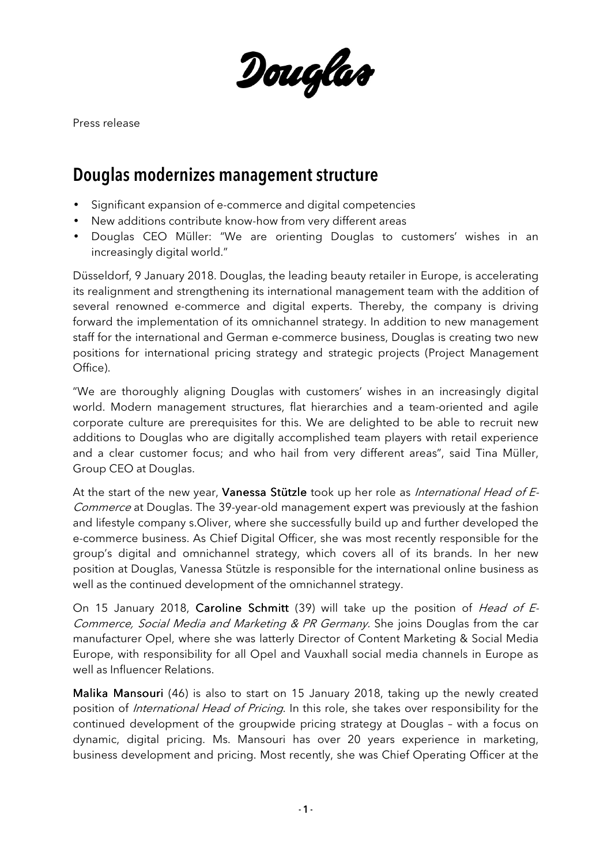Douglas

Press release

## Douglas modernizes management structure

- Significant expansion of e-commerce and digital competencies
- New additions contribute know-how from very different areas
- Douglas CEO Müller: "We are orienting Douglas to customers' wishes in an increasingly digital world."

Düsseldorf, 9 January 2018. Douglas, the leading beauty retailer in Europe, is accelerating its realignment and strengthening its international management team with the addition of several renowned e-commerce and digital experts. Thereby, the company is driving forward the implementation of its omnichannel strategy. In addition to new management staff for the international and German e-commerce business, Douglas is creating two new positions for international pricing strategy and strategic projects (Project Management Office).

"We are thoroughly aligning Douglas with customers' wishes in an increasingly digital world. Modern management structures, flat hierarchies and a team-oriented and agile corporate culture are prerequisites for this. We are delighted to be able to recruit new additions to Douglas who are digitally accomplished team players with retail experience and a clear customer focus; and who hail from very different areas", said Tina Müller, Group CEO at Douglas.

At the start of the new year, Vanessa Stützle took up her role as International Head of E-Commerce at Douglas. The 39-year-old management expert was previously at the fashion and lifestyle company s.Oliver, where she successfully build up and further developed the e-commerce business. As Chief Digital Officer, she was most recently responsible for the group's digital and omnichannel strategy, which covers all of its brands. In her new position at Douglas, Vanessa Stützle is responsible for the international online business as well as the continued development of the omnichannel strategy.

On 15 January 2018, Caroline Schmitt (39) will take up the position of Head of E-Commerce, Social Media and Marketing & PR Germany. She joins Douglas from the car manufacturer Opel, where she was latterly Director of Content Marketing & Social Media Europe, with responsibility for all Opel and Vauxhall social media channels in Europe as well as Influencer Relations.

Malika Mansouri (46) is also to start on 15 January 2018, taking up the newly created position of International Head of Pricing. In this role, she takes over responsibility for the continued development of the groupwide pricing strategy at Douglas – with a focus on dynamic, digital pricing. Ms. Mansouri has over 20 years experience in marketing, business development and pricing. Most recently, she was Chief Operating Officer at the